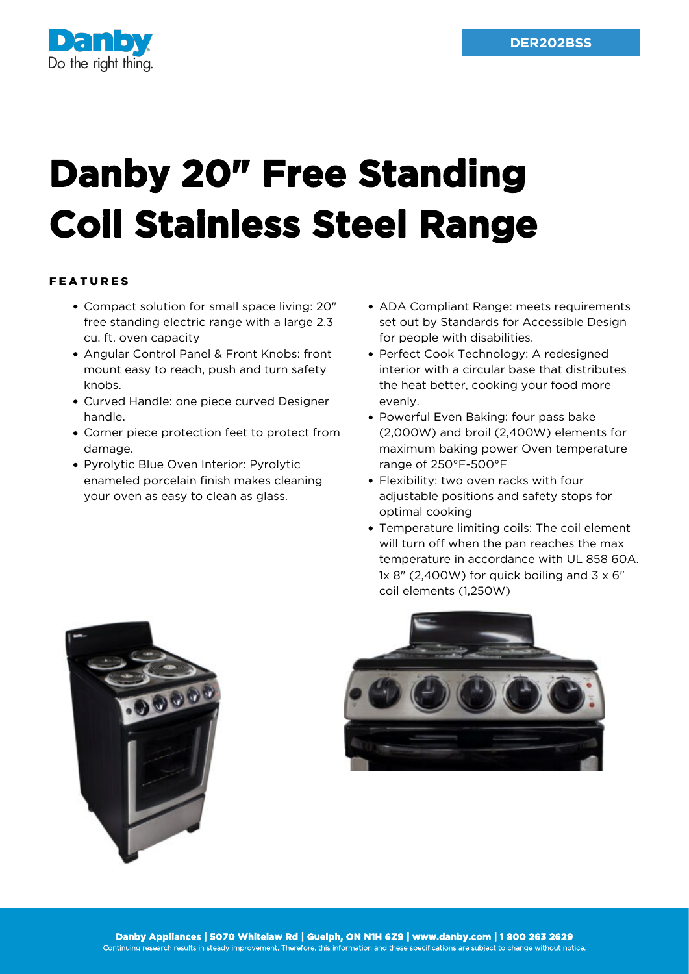

## **Danby 20" Free Standing Coil Stainless Steel Range**

## FEATURES

- Compact solution for small space living: 20" free standing electric range with a large 2.3 cu. ft. oven capacity
- Angular Control Panel & Front Knobs: front mount easy to reach, push and turn safety knobs.
- Curved Handle: one piece curved Designer handle.
- Corner piece protection feet to protect from damage.
- Pyrolytic Blue Oven Interior: Pyrolytic enameled porcelain finish makes cleaning your oven as easy to clean as glass.
- ADA Compliant Range: meets requirements set out by Standards for Accessible Design for people with disabilities.
- Perfect Cook Technology: A redesigned interior with a circular base that distributes the heat better, cooking your food more evenly.
- Powerful Even Baking: four pass bake (2,000W) and broil (2,400W) elements for maximum baking power Oven temperature range of 250°F-500°F
- Flexibility: two oven racks with four adjustable positions and safety stops for optimal cooking
- Temperature limiting coils: The coil element will turn off when the pan reaches the max temperature in accordance with UL 858 60A. 1x 8" (2,400W) for quick boiling and  $3 \times 6$ " coil elements (1,250W)